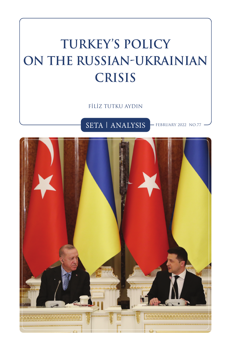# **TURKEY'S POLICY ON THE RUSSIAN-UKRAINIAN CRISIS**

FİLİZ TUTKU AYDIN

SETA | ANALYSIS FEBRUARY 2022 NO.77

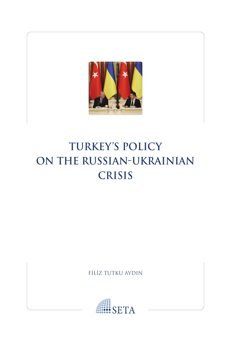

# **TURKEY'S POLICY ON THE RUSSIAN-UKRAINIAN CRISIS**

FİLİZ TUTKU AYDIN

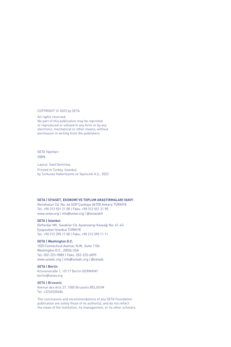#### COPYRIGHT © 2022 by SETA

All rights reserved. No part of this publication may be reprinted or reproduced or utilized in any form or by any electronic, mechanical or other means, without permission in writing from the publishers.

#### SETA Yayınları ISBN:

Layout: Said Demirtaş Printed in Turkey, İstanbul by Turkuvaz Haberleşme ve Yayıncılık A.Ş., 2022

#### **SETA | SİYASET, EKONOMİ VE TOPLUM ARAŞTIRMALARI VAKFI**

Nenehatun Cd. No: 66 GOP Çankaya 06700 Ankara TÜRKİYE Tel: +90 312 551 21 00 | Faks: +90 312 551 21 90 www.setav.org | info@setav.org | @setavakfi

#### **SETA | İstanbul**

Defterdar Mh. Savaklar Cd. Ayvansaray Kavşağı No: 41-43 Eyüpsultan İstanbul TÜRKİYE Tel: +90 212 395 11 00 | Faks: +90 212 395 11 11

#### **SETA | Washington D.C.**

1025 Connecticut Avenue, N.W., Suite 1106 Washington D.C., 20036 USA Tel: 202-223-9885 | Faks: 202-223-6099 www.setadc.org | info@setadc.org | @setadc

#### **SETA | Berlin**

Kronenstraße 1, 10117 Berlin GERMANY berlin@setav.org

#### **SETA | Brussels**

Avenue des Arts 27, 1000 Brussels BELGIUM Tel: +3226520486

The conclusions and recommendations of any SETA Foundation publication are solely those of its author(s), and do not reflect the views of the Institution, its management, or its other scholars.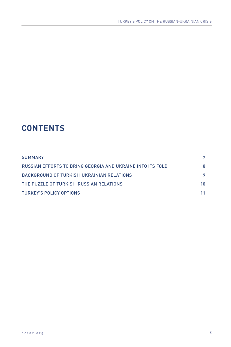## **CONTENTS**

| <b>SUMMARY</b>                                                                       |    |
|--------------------------------------------------------------------------------------|----|
| RUSSIAN EFFORTS TO BRING GEORGIA AND UKRAINE INTO ITS FOLD                           | 8  |
| BACKGROUND OF TURKISH-UKRAINIAN RELATIONS<br>THE PUZZLE OF TURKISH-RUSSIAN RELATIONS | 10 |
|                                                                                      |    |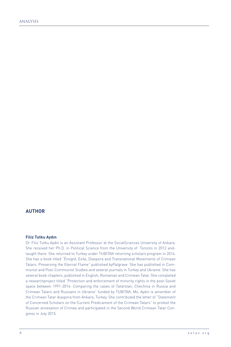#### **AUTHOR**

#### **Filiz Tutku Aydın**

Dr. Filiz Tutku Aydin is an Assistant Professor at the SocialSciences University of Ankara. She received her Ph.D. in Political Science from the University of Toronto in 2012 andtaught there. She returned to Turkey under TUBITAK returning scholars program in 2014. She has a book titled "Émigré, Exile, Diaspora and Transnational Movements of Crimean Tatars: Preserving the Eternal Flame" published byPalgrave. She has published in Communist and Post-Communist Studies and several journals in Turkey and Ukraine. She has several book chapters, published in English, Romanian and Crimean Tatar. She completed a researchproject titled "Protection and enforcement of minority rights in the post-Soviet space between 1991-2014: Comparing the cases of Tatarstan, Chechnia in Russia and Crimean Tatars and Russians in Ukraine" funded by TUBITAK. Ms. Aydın is amember of the Crimean Tatar diaspora from Ankara, Turkey. She contributed the letter of "Statement of Concerned Scholars on the Current Predicament of the Crimean Tatars" to protest the Russian annexation of Crimea and participated in the Second World Crimean Tatar Congress in July 2015.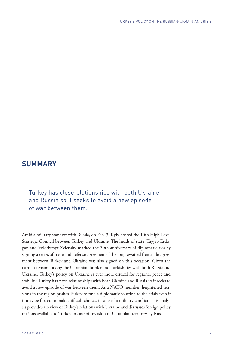### **SUMMARY**

Turkey has closerelationships with both Ukraine and Russia so it seeks to avoid a new episode of war between them.

Amid a military standoff with Russia, on Feb. 3, Kyiv hosted the 10th High-Level Strategic Council between Turkey and Ukraine. The heads of state, Tayyip Erdogan and Volodymyr Zelensky marked the 30th anniversary of diplomatic ties by signing a series of trade and defense agreements. The long-awaited free trade agreement between Turkey and Ukraine was also signed on this occasion. Given the current tensions along the Ukrainian border and Turkish ties with both Russia and Ukraine, Turkey's policy on Ukraine is ever more critical for regional peace and stability. Turkey has close relationships with both Ukraine and Russia so it seeks to avoid a new episode of war between them. As a NATO member, heightened tensions in the region pushes Turkey to find a diplomatic solution to the crisis even if it may be forced to make difficult choices in case of a military conflict. This analysis provides a review of Turkey's relations with Ukraine and discusses foreign policy options available to Turkey in case of invasion of Ukrainian territory by Russia.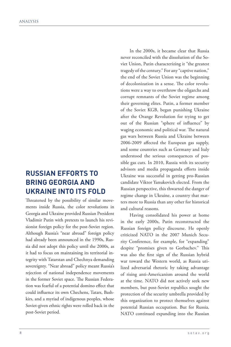### **RUSSIAN EFFORTS TO BRING GEORGIA AND UKRAINE INTO ITS FOLD**

Threatened by the possibility of similar movements inside Russia, the color revolutions in Georgia and Ukraine provided Russian President Vladimir Putin with pretexts to launch his revisionist foreign policy for the post-Soviet region. Although Russia's "near abroad" foreign policy had already been announced in the 1990s, Russia did not adopt this policy until the 2000s, as it had to focus on maintaining its territorial integrity with Tatarstan and Chechnya demanding sovereignty. "Near abroad" policy meant Russia's rejection of national independence movements in the former Soviet space. The Russian Federation was fearful of a potential domino effect that could influence its own Chechens, Tatars, Bashkirs, and a myriad of indigenous peoples, whose Soviet-given ethnic rights were rolled back in the post-Soviet period.

In the 2000s, it became clear that Russia never reconciled with the dissolution of the Soviet Union, Putin characterizing it "the greatest tragedy of the century." For any "captive nation," the end of the Soviet Union was the beginning of decolonization in a sense. The color revolutions were a way to overthrow the oligarchs and corrupt remnants of the Soviet regime among their governing elites. Putin, a former member of the Soviet KGB, began punishing Ukraine after the Orange Revolution for trying to get out of the Russian "sphere of influence" by waging economic and political war. The natural gas wars between Russia and Ukraine between 2006-2009 affected the European gas supply, and some countries such as Germany and Italy understood the serious consequences of possible gas cuts. In 2010, Russia with its security advisors and media propaganda efforts inside Ukraine was successful in getting pro-Russian candidate Viktor Yanukovich elected. From the Russian perspective, this thwarted the danger of regime change in Ukraine, a country that matters more to Russia than any other for historical and cultural reasons.

Having consolidated his power at home in the early 2000s, Putin reconstructed the Russian foreign policy discourse. He openly criticized NATO in the 2007 Munich Security Conference, for example, for "expanding" despite "promises given to Gorbachev." This was also the first sign of the Russian hybrid war toward the Western world, as Russia utilized adversarial rhetoric by taking advantage of rising anti-Americanism around the world at the time. NATO did not actively seek new members, but post-Soviet republics sought the protection of the security umbrella provided by this organization to protect themselves against potential Russian occupation. But for Russia, NATO continued expanding into the Russian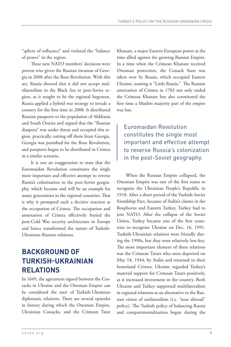"sphere of influence" and violated the "balance of power" in the region.

These new NATO members' decisions were proven wise given the Russian invasion of Georgia in 2008 after the Rose Revolution. With this act, Russia showed that it did not accept multilateralism in the Black Sea or post-Soviet region, as it sought to be the regional hegemon. Russia applied a hybrid war strategy to invade a country for the first time in 2008. It distributed Russian passports to the population of Abkhazia and South Ossetia and argued that the "Russian diaspora" was under threat and occupied this region, practically cutting off them from Georgia. Georgia was punished for the Rose Revolution, and passports began to be distributed in Crimea in a similar scenario.

It is not an exaggeration to state that the Euromaidan Revolution constitutes the single most important and effective attempt to reverse Russia's colonization in the post-Soviet geography, which became and will be an example for many generations in the regional countries. That is why it prompted such a decisive reaction as the occupation of Crimea. The occupation and annexation of Crimea effectively buried the post-Cold War security architecture in Europe and hence transformed the nature of Turkish-Ukrainian-Russian relations.

### **BACKGROUND OF TURKISH-UKRAINIAN RELATIONS**

In 1649, the agreement signed between the Cossacks in Ukraine and the Ottoman Empire can be considered the start of Turkish-Ukrainian diplomatic relations. There are several episodes in history during which the Ottoman Empire, Ukrainian Cossacks, and the Crimean Tatar Khanate, a major Eastern European power at the time allied against the growing Russian Empire. In a time when the Crimean Khanate received Ottoman protection, the Cossack State was taken over by Russia, which occupied Eastern Ukraine, naming it "Little Russia." The Russian annexation of Crimea in 1783 not only ended the Crimean Khanate but also constituted the first time a Muslim majority part of the empire was lost.

Euromaidan Revolution constitutes the single most important and effective attempt to reverse Russia's colonization in the post-Soviet geography.

When the Russian Empire collapsed, the Ottoman Empire was one of the first states to recognize the Ukrainian People's Republic in 1918. After a short period of the Turkish-Soviet friendship Pact, because of Stalin's claims in the Bosphorus and Eastern Turkey, Turkey had to join NATO. After the collapse of the Soviet Union, Turkey became one of the first countries to recognize Ukraine on Dec. 16, 1991. Turkish-Ukrainian relations were friendly during the 1990s, but they were relatively low-key. The most important element of these relations was the Crimean Tatars who were deported on May 18, 1944, by Stalin and returned to their homeland Crimea. Ukraine regarded Turkey's material support for Crimean Tatars positively, as it increased investment in the country. Both Ukraine and Turkey supported multilateralism in regional relations as an alternative to the Russian vision of unilateralism (i.e. "near abroad" policy). The Turkish policy of balancing Russia and compartmentalization began during the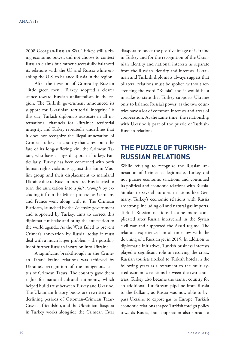2008 Georgian-Russian War. Turkey, still a rising economic power, did not choose to contest Russian claims but rather successfully balanced its relations with the US and Russia while enabling the U.S. to balance Russia in the region.

After the invasion of Crimea by Russian "little green men," Turkey adopted a clearer stance toward Russian unilateralism in the region. The Turkish government announced its support for Ukrainian territorial integrity. To this day, Turkish diplomats advocate in all international channels for Ukraine's territorial integrity, and Turkey repeatedly underlines that it does not recognize the illegal annexation of Crimea. Turkey is a country that cares about the fate of its long-suffering kin, the Crimean Tatars, who have a large diaspora in Turkey. Particularly, Turkey has been concerned with both human rights violations against this Sunni Muslim group and their displacement to mainland Ukraine due to Russian pressure. Russia tried to turn the annexation into a *fait accompli* by excluding it from the Minsk process, as Germany and France went along with it. The Crimean Platform, launched by the Zelensky government and supported by Turkey, aims to correct this diplomatic mistake and bring the annexation to the world agenda. As the West failed to prevent Crimea's annexation by Russia, today it must deal with a much larger problem – the possibility of further Russian incursion into Ukraine.

A significant breakthrough in the Crimean Tatar-Ukraine relations was achieved by Ukraine's recognition of the indigenous status of Crimean Tatars. The country gave them rights for national-cultural autonomy, which helped build trust between Turkey and Ukraine. The Ukrainian history books are rewritten underlining periods of Ottoman-Crimean Tatar-Cossack friendship, and the Ukrainian diaspora in Turkey works alongside the Crimean Tatar diaspora to boost the positive image of Ukraine in Turkey and for the recognition of the Ukrainian identity and national interests as separate from the Russian identity and interests. Ukrainian and Turkish diplomats always suggest that bilateral relations must be spoken without referencing the word "Russia" and it would be a mistake to state that Turkey supports Ukraine only to balance Russia's power, as the two countries have a lot of common interests and areas of cooperation. At the same time, the relationship with Ukraine is part of the puzzle of Turkish-Russian relations.

### **THE PUZZLE OF TURKISH-RUSSIAN RELATIONS**

While refusing to recognize the Russian annexation of Crimea as legitimate, Turkey did not pursue economic sanctions and continued its political and economic relations with Russia. Similar to several European nations like Germany, Turkey's economic relations with Russia are strong, including oil and natural gas imports. Turkish-Russian relations became more complicated after Russia intervened in the Syrian civil war and supported the Assad regime. The relations experienced an all-time low with the downing of a Russian jet in 2015. In addition to diplomatic initiatives, Turkish business interests played a significant role in resolving the crisis. Russian tourists flocked to Turkish hotels in the following years as a testament to the multilayered economic relations between the two countries. Turkey also became the transit country for an additional TurkStream pipeline from Russia to the Balkans, as Russia was now able to bypass Ukraine to export gas to Europe. Turkish economic relations shaped Turkish foreign policy towards Russia, but cooperation also spread to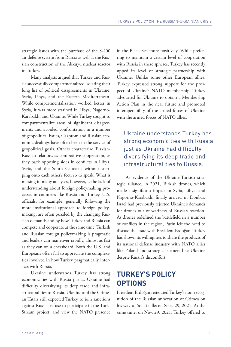strategic issues with the purchase of the S-400 air defense system from Russia as well as the Russian construction of the Akkuyu nuclear reactor in Turkey.

Many analysts argued that Turkey and Russia successfully compartmentalized isolating their long list of political disagreements in Ukraine, Syria, Libya, and the Eastern Mediterranean. While compartmentalization worked better in Syria, it was more strained in Libya, Nagorno-Karabakh, and Ukraine. While Turkey sought to compartmentalize areas of significant disagreements and avoided confrontation in a number of geopolitical issues, Gazprom and Russian economic dealings have often been in the service of geopolitical goals. Others characterize Turkish-Russian relations as competitive cooperation, as they back opposing sides in conflicts in Libya, Syria, and the South Caucasus without stepping onto each other's feet, so to speak. What is missing in many analyses, however, is the lack of understanding about foreign policymaking processes in countries like Russia and Turkey. U.S. officials, for example, generally following the more institutional approach to foreign policymaking, are often puzzled by the changing Russian demands and by how Turkey and Russia can compete and cooperate at the same time. Turkish and Russian foreign policymaking is pragmatic and leaders can maneuver rapidly, almost as fast as they can on a chessboard. Both the U.S. and Europeans often fail to appreciate the complexities involved in how Turkey pragmatically interacts with Russia.

Ukraine understands Turkey has strong economic ties with Russia just as Ukraine had difficulty diversifying its deep trade and infrastructural ties to Russia. Ukraine and the Crimean Tatars still expected Turkey to join sanctions against Russia, refuse to participate in the Turk-Stream project, and view the NATO presence

in the Black Sea more positively. While preferring to maintain a certain level of cooperation with Russia in these spheres, Turkey has recently upped its level of strategic partnership with Ukraine. Unlike some other European allies, Turkey expressed strong support for the prospect of Ukraine's NATO membership. Turkey advocated for Ukraine to obtain a Membership Action Plan in the near future and promoted interoperability of the armed forces of Ukraine with the armed forces of NATO allies.

### Ukraine understands Turkey has strong economic ties with Russia just as Ukraine had difficulty diversifying its deep trade and infrastructural ties to Russia.

As evidence of the Ukraine-Turkish strategic alliance, in 2021, Turkish drones, which made a significant impact in Syria, Libya, and Nagorno-Karabakh, finally arrived in Donbas. Israel had previously rejected Ukraine's demands for drones out of wariness of Russia's reaction. As drones redefined the battlefield in a number of conflicts in the region, Putin felt the need to discuss the issue with President Erdoğan. Turkey has shown its willingness to share the products of its national defense industry with NATO allies like Poland and strategic partners like Ukraine despite Russia's discomfort.

### **TURKEY'S POLICY OPTIONS**

President Erdoğan reiterated Turkey's non-recognition of the Russian annexation of Crimea on his way to Sochi talks on Sept. 29, 2021. At the same time, on Nov. 29, 2021, Turkey offered to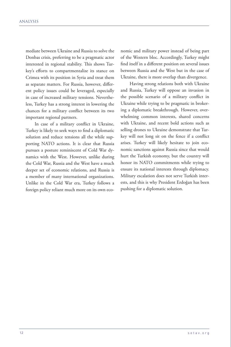mediate between Ukraine and Russia to solve the Donbas crisis, preferring to be a pragmatic actor interested in regional stability. This shows Turkey's efforts to compartmentalize its stance on Crimea with its position in Syria and treat them as separate matters. For Russia, however, different policy issues could be leveraged, especially in case of increased military tensions. Nevertheless, Turkey has a strong interest in lowering the chances for a military conflict between its two important regional partners.

In case of a military conflict in Ukraine, Turkey is likely to seek ways to find a diplomatic solution and reduce tensions all the while supporting NATO actions. It is clear that Russia pursues a posture reminiscent of Cold War dynamics with the West. However, unlike during the Cold War, Russia and the West have a much deeper set of economic relations, and Russia is a member of many international organizations. Unlike in the Cold War era, Turkey follows a foreign policy reliant much more on its own eco-

nomic and military power instead of being part of the Western bloc. Accordingly, Turkey might find itself in a different position on several issues between Russia and the West but in the case of Ukraine, there is more overlap than divergence.

Having strong relations both with Ukraine and Russia, Turkey will oppose an invasion in the possible scenario of a military conflict in Ukraine while trying to be pragmatic in brokering a diplomatic breakthrough. However, overwhelming common interests, shared concerns with Ukraine, and recent bold actions such as selling drones to Ukraine demonstrate that Turkey will not long sit on the fence if a conflict arises. Turkey will likely hesitate to join economic sanctions against Russia since that would hurt the Turkish economy, but the country will honor its NATO commitments while trying to ensure its national interests through diplomacy. Military escalation does not serve Turkish interests, and this is why President Erdoğan has been pushing for a diplomatic solution.